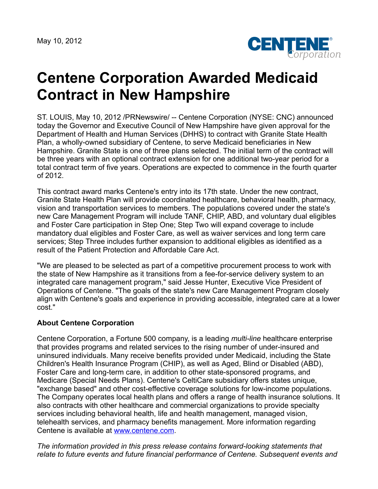May 10, 2012



## **Centene Corporation Awarded Medicaid Contract in New Hampshire**

ST. LOUIS, May 10, 2012 /PRNewswire/ -- Centene Corporation (NYSE: CNC) announced today the Governor and Executive Council of New Hampshire have given approval for the Department of Health and Human Services (DHHS) to contract with Granite State Health Plan, a wholly-owned subsidiary of Centene, to serve Medicaid beneficiaries in New Hampshire. Granite State is one of three plans selected. The initial term of the contract will be three years with an optional contract extension for one additional two-year period for a total contract term of five years. Operations are expected to commence in the fourth quarter of 2012.

This contract award marks Centene's entry into its 17th state. Under the new contract, Granite State Health Plan will provide coordinated healthcare, behavioral health, pharmacy, vision and transportation services to members. The populations covered under the state's new Care Management Program will include TANF, CHIP, ABD, and voluntary dual eligibles and Foster Care participation in Step One; Step Two will expand coverage to include mandatory dual eligibles and Foster Care, as well as waiver services and long term care services; Step Three includes further expansion to additional eligibles as identified as a result of the Patient Protection and Affordable Care Act.

"We are pleased to be selected as part of a competitive procurement process to work with the state of New Hampshire as it transitions from a fee-for-service delivery system to an integrated care management program," said Jesse Hunter, Executive Vice President of Operations of Centene. "The goals of the state's new Care Management Program closely align with Centene's goals and experience in providing accessible, integrated care at a lower cost."

## **About Centene Corporation**

Centene Corporation, a Fortune 500 company, is a leading *multi-line* healthcare enterprise that provides programs and related services to the rising number of under-insured and uninsured individuals. Many receive benefits provided under Medicaid, including the State Children's Health Insurance Program (CHIP), as well as Aged, Blind or Disabled (ABD), Foster Care and long-term care, in addition to other state-sponsored programs, and Medicare (Special Needs Plans). Centene's CeltiCare subsidiary offers states unique, "exchange based" and other cost-effective coverage solutions for low-income populations. The Company operates local health plans and offers a range of health insurance solutions. It also contracts with other healthcare and commercial organizations to provide specialty services including behavioral health, life and health management, managed vision, telehealth services, and pharmacy benefits management. More information regarding Centene is available at [www.centene.com](http://www.centene.com/).

*The information provided in this press release contains forward-looking statements that relate to future events and future financial performance of Centene. Subsequent events and*